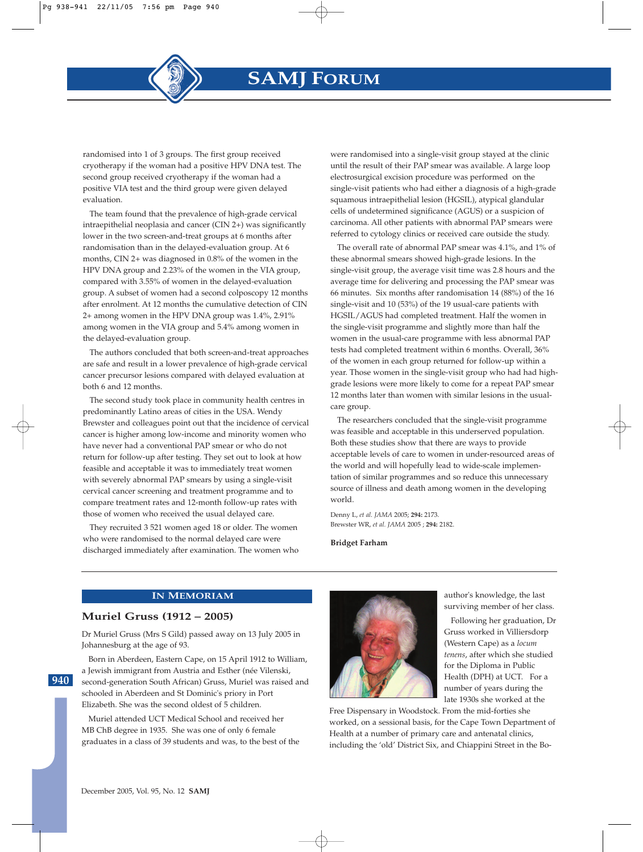### **IN MEMORIAM**

## **Muriel Gruss (1912 – 2005)**

Dr Muriel Gruss (Mrs S Gild) passed away on 13 July 2005 in Johannesburg at the age of 93.

Born in Aberdeen, Eastern Cape, on 15 April 1912 to William, a Jewish immigrant from Austria and Esther (née Vilenski, second-generation South African) Gruss, Muriel was raised and schooled in Aberdeen and St Dominic's priory in Port Elizabeth. She was the second oldest of 5 children.

Muriel attended UCT Medical School and received her MB ChB degree in 1935. She was one of only 6 female graduates in a class of 39 students and was, to the best of the



author's knowledge, the last surviving member of her class.

Following her graduation, Dr Gruss worked in Villiersdorp (Western Cape) as a *locum tenens*, after which she studied for the Diploma in Public Health (DPH) at UCT. For a number of years during the late 1930s she worked at the

Free Dispensary in Woodstock. From the mid-forties she worked, on a sessional basis, for the Cape Town Department of Health at a number of primary care and antenatal clinics, including the 'old' District Six, and Chiappini Street in the Bo-

#### December 2005, Vol. 95, No. 12 **SAMJ**

**940**